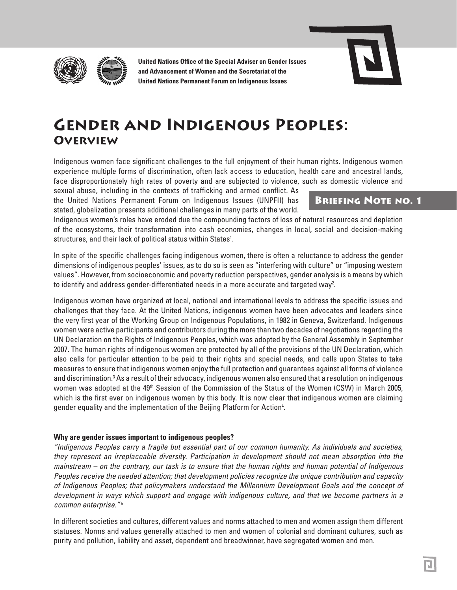

**United Nations Office of the Special Adviser on Gender Issues and Advancement of Women and the Secretariat of the United Nations Permanent Forum on Indigenous Issues**



# **Gender and Indigenous Peoples: Overview**

Indigenous women face significant challenges to the full enjoyment of their human rights. Indigenous women experience multiple forms of discrimination, often lack access to education, health care and ancestral lands, face disproportionately high rates of poverty and are subjected to violence, such as domestic violence and

sexual abuse, including in the contexts of trafficking and armed conflict. As the United Nations Permanent Forum on Indigenous Issues (UNPFII) has stated, globalization presents additional challenges in many parts of the world.

# Briefing Note no. 1

Indigenous women's roles have eroded due the compounding factors of loss of natural resources and depletion of the ecosystems, their transformation into cash economies, changes in local, social and decision-making structures, and their lack of political status within States<sup>1</sup>.

In spite of the specific challenges facing indigenous women, there is often a reluctance to address the gender dimensions of indigenous peoples' issues, as to do so is seen as "interfering with culture" or "imposing western values". However, from socioeconomic and poverty reduction perspectives, gender analysis is a means by which to identify and address gender-differentiated needs in a more accurate and targeted way<sup>2</sup>.

Indigenous women have organized at local, national and international levels to address the specific issues and challenges that they face. At the United Nations, indigenous women have been advocates and leaders since the very first year of the Working Group on Indigenous Populations, in 1982 in Geneva, Switzerland. Indigenous women were active participants and contributors during the more than two decades of negotiations regarding the UN Declaration on the Rights of Indigenous Peoples, which was adopted by the General Assembly in September 2007. The human rights of indigenous women are protected by all of the provisions of the UN Declaration, which also calls for particular attention to be paid to their rights and special needs, and calls upon States to take measures to ensure that indigenous women enjoy the full protection and guarantees against all forms of violence and discrimination.<sup>3</sup> As a result of their advocacy, indigenous women also ensured that a resolution on indigenous women was adopted at the 49<sup>th</sup> Session of the Commission of the Status of the Women (CSW) in March 2005, which is the first ever on indigenous women by this body. It is now clear that indigenous women are claiming gender equality and the implementation of the Beijing Platform for Action4 .

## **Why are gender issues important to indigenous peoples?**

*"Indigenous Peoples carry a fragile but essential part of our common humanity. As individuals and societies, they represent an irreplaceable diversity. Participation in development should not mean absorption into the mainstream – on the contrary, our task is to ensure that the human rights and human potential of Indigenous Peoples receive the needed attention; that development policies recognize the unique contribution and capacity of Indigenous Peoples; that policymakers understand the Millennium Development Goals and the concept of development in ways which support and engage with indigenous culture, and that we become partners in a common enterprise." <sup>5</sup>*

In different societies and cultures, different values and norms attached to men and women assign them different statuses. Norms and values generally attached to men and women of colonial and dominant cultures, such as purity and pollution, liability and asset, dependent and breadwinner, have segregated women and men.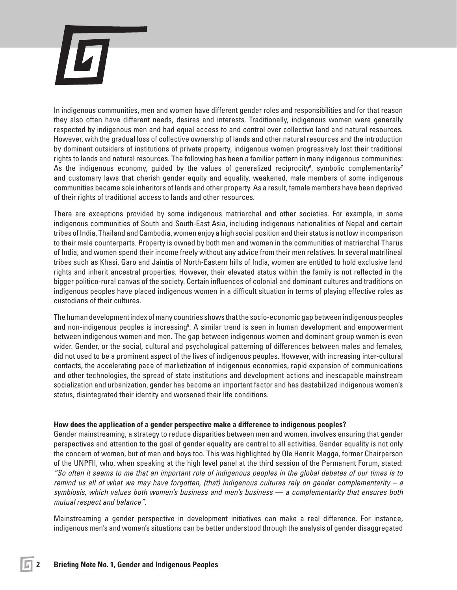

In indigenous communities, men and women have different gender roles and responsibilities and for that reason they also often have different needs, desires and interests. Traditionally, indigenous women were generally respected by indigenous men and had equal access to and control over collective land and natural resources. However, with the gradual loss of collective ownership of lands and other natural resources and the introduction by dominant outsiders of institutions of private property, indigenous women progressively lost their traditional rights to lands and natural resources. The following has been a familiar pattern in many indigenous communities: As the indigenous economy, guided by the values of generalized reciprocity<sup>6</sup>, symbolic complementarity<sup>7</sup> and customary laws that cherish gender equity and equality, weakened, male members of some indigenous communities became sole inheritors of lands and other property. As a result, female members have been deprived of their rights of traditional access to lands and other resources.

There are exceptions provided by some indigenous matriarchal and other societies. For example, in some indigenous communities of South and South-East Asia, including indigenous nationalities of Nepal and certain tribes of India, Thailand and Cambodia, women enjoy a high social position and their status is not low in comparison to their male counterparts. Property is owned by both men and women in the communities of matriarchal Tharus of India, and women spend their income freely without any advice from their men relatives. In several matrilineal tribes such as Khasi, Garo and Jaintia of North-Eastern hills of India, women are entitled to hold exclusive land rights and inherit ancestral properties. However, their elevated status within the family is not reflected in the bigger politico-rural canvas of the society. Certain influences of colonial and dominant cultures and traditions on indigenous peoples have placed indigenous women in a difficult situation in terms of playing effective roles as custodians of their cultures.

The human development index of many countries shows that the socio-economic gap between indigenous peoples and non-indigenous peoples is increasing<sup>8</sup>. A similar trend is seen in human development and empowerment between indigenous women and men. The gap between indigenous women and dominant group women is even wider. Gender, or the social, cultural and psychological patterning of differences between males and females, did not used to be a prominent aspect of the lives of indigenous peoples. However, with increasing inter-cultural contacts, the accelerating pace of marketization of indigenous economies, rapid expansion of communications and other technologies, the spread of state institutions and development actions and inescapable mainstream socialization and urbanization, gender has become an important factor and has destabilized indigenous women's status, disintegrated their identity and worsened their life conditions.

#### **How does the application of a gender perspective make a difference to indigenous peoples?**

Gender mainstreaming, a strategy to reduce disparities between men and women, involves ensuring that gender perspectives and attention to the goal of gender equality are central to all activities. Gender equality is not only the concern of women, but of men and boys too. This was highlighted by Ole Henrik Magga, former Chairperson of the UNPFII, who, when speaking at the high level panel at the third session of the Permanent Forum, stated: *"So often it seems to me that an important role of indigenous peoples in the global debates of our times is to remind us all of what we may have forgotten, (that) indigenous cultures rely on gender complementarity – a symbiosis, which values both women's business and men's business — a complementarity that ensures both mutual respect and balance".* 

Mainstreaming a gender perspective in development initiatives can make a real difference. For instance, indigenous men's and women's situations can be better understood through the analysis of gender disaggregated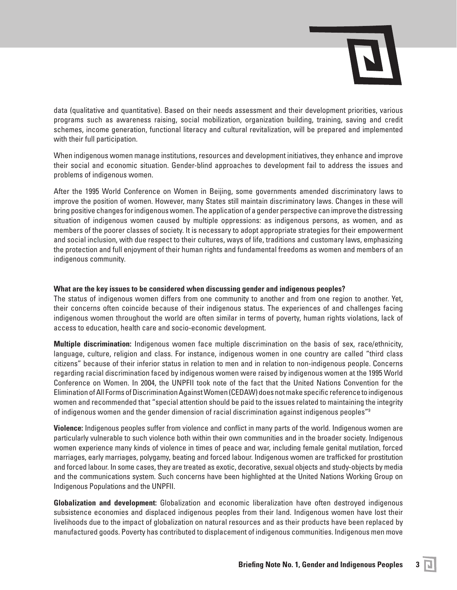

data (qualitative and quantitative). Based on their needs assessment and their development priorities, various programs such as awareness raising, social mobilization, organization building, training, saving and credit schemes, income generation, functional literacy and cultural revitalization, will be prepared and implemented with their full participation.

When indigenous women manage institutions, resources and development initiatives, they enhance and improve their social and economic situation. Gender-blind approaches to development fail to address the issues and problems of indigenous women.

After the 1995 World Conference on Women in Beijing, some governments amended discriminatory laws to improve the position of women. However, many States still maintain discriminatory laws. Changes in these will bring positive changes for indigenous women. The application of a gender perspective can improve the distressing situation of indigenous women caused by multiple oppressions: as indigenous persons, as women, and as members of the poorer classes of society. It is necessary to adopt appropriate strategies for their empowerment and social inclusion, with due respect to their cultures, ways of life, traditions and customary laws, emphasizing the protection and full enjoyment of their human rights and fundamental freedoms as women and members of an indigenous community.

### **What are the key issues to be considered when discussing gender and indigenous peoples?**

The status of indigenous women differs from one community to another and from one region to another. Yet, their concerns often coincide because of their indigenous status. The experiences of and challenges facing indigenous women throughout the world are often similar in terms of poverty, human rights violations, lack of access to education, health care and socio-economic development.

**Multiple discrimination:** Indigenous women face multiple discrimination on the basis of sex, race/ethnicity, language, culture, religion and class. For instance, indigenous women in one country are called "third class citizens" because of their inferior status in relation to men and in relation to non-indigenous people. Concerns regarding racial discrimination faced by indigenous women were raised by indigenous women at the 1995 World Conference on Women. In 2004, the UNPFII took note of the fact that the United Nations Convention for the Elimination of All Forms of Discrimination Against Women (CEDAW) does not make specific reference to indigenous women and recommended that "special attention should be paid to the issues related to maintaining the integrity of indigenous women and the gender dimension of racial discrimination against indigenous peoples"9

**Violence:** Indigenous peoples suffer from violence and conflict in many parts of the world. Indigenous women are particularly vulnerable to such violence both within their own communities and in the broader society. Indigenous women experience many kinds of violence in times of peace and war, including female genital mutilation, forced marriages, early marriages, polygamy, beating and forced labour. Indigenous women are trafficked for prostitution and forced labour. In some cases, they are treated as exotic, decorative, sexual objects and study-objects by media and the communications system. Such concerns have been highlighted at the United Nations Working Group on Indigenous Populations and the UNPFII.

**Globalization and development:** Globalization and economic liberalization have often destroyed indigenous subsistence economies and displaced indigenous peoples from their land. Indigenous women have lost their livelihoods due to the impact of globalization on natural resources and as their products have been replaced by manufactured goods. Poverty has contributed to displacement of indigenous communities. Indigenous men move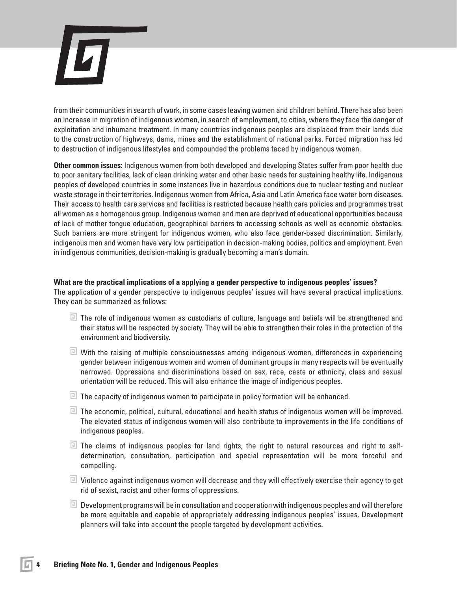

from their communities in search of work, in some cases leaving women and children behind. There has also been an increase in migration of indigenous women, in search of employment, to cities, where they face the danger of exploitation and inhumane treatment. In many countries indigenous peoples are displaced from their lands due to the construction of highways, dams, mines and the establishment of national parks. Forced migration has led to destruction of indigenous lifestyles and compounded the problems faced by indigenous women.

**Other common issues:** Indigenous women from both developed and developing States suffer from poor health due to poor sanitary facilities, lack of clean drinking water and other basic needs for sustaining healthy life. Indigenous peoples of developed countries in some instances live in hazardous conditions due to nuclear testing and nuclear waste storage in their territories. Indigenous women from Africa, Asia and Latin America face water born diseases. Their access to health care services and facilities is restricted because health care policies and programmes treat all women as a homogenous group. Indigenous women and men are deprived of educational opportunities because of lack of mother tongue education, geographical barriers to accessing schools as well as economic obstacles. Such barriers are more stringent for indigenous women, who also face gender-based discrimination. Similarly, indigenous men and women have very low participation in decision-making bodies, politics and employment. Even in indigenous communities, decision-making is gradually becoming a man's domain.

### **What are the practical implications of a applying a gender perspective to indigenous peoples' issues?**

The application of a gender perspective to indigenous peoples' issues will have several practical implications. They can be summarized as follows:

- $\Box$  The role of indigenous women as custodians of culture, language and beliefs will be strengthened and their status will be respected by society. They will be able to strengthen their roles in the protection of the environment and biodiversity.
- $\boxdot$  With the raising of multiple consciousnesses among indigenous women, differences in experiencing gender between indigenous women and women of dominant groups in many respects will be eventually narrowed. Oppressions and discriminations based on sex, race, caste or ethnicity, class and sexual orientation will be reduced. This will also enhance the image of indigenous peoples.
- $\blacksquare$  The capacity of indigenous women to participate in policy formation will be enhanced.
- $\Box$  The economic, political, cultural, educational and health status of indigenous women will be improved. The elevated status of indigenous women will also contribute to improvements in the life conditions of indigenous peoples.
- $\Box$  The claims of indigenous peoples for land rights, the right to natural resources and right to selfdetermination, consultation, participation and special representation will be more forceful and compelling.
- $\Box$  Violence against indigenous women will decrease and they will effectively exercise their agency to get rid of sexist, racist and other forms of oppressions.
- $\Box$  Development programs will be in consultation and cooperation with indigenous peoples and will therefore be more equitable and capable of appropriately addressing indigenous peoples' issues. Development planners will take into account the people targeted by development activities.